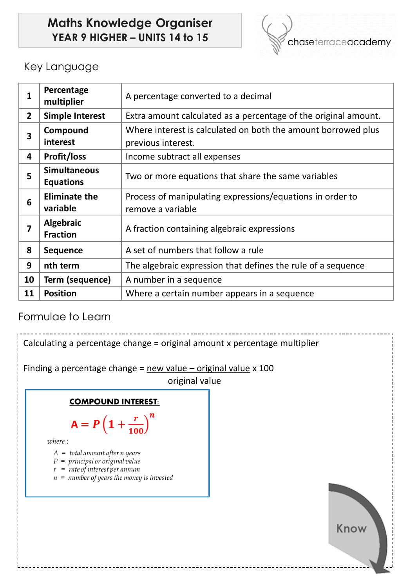# **Maths Knowledge Organiser YEAR 9 HIGHER – UNITS 14 to 15**



## Key Language

| 1              | Percentage<br>multiplier                | A percentage converted to a decimal                                            |  |
|----------------|-----------------------------------------|--------------------------------------------------------------------------------|--|
| $\overline{2}$ | <b>Simple Interest</b>                  | Extra amount calculated as a percentage of the original amount.                |  |
| 3              | Compound                                | Where interest is calculated on both the amount borrowed plus                  |  |
|                | interest                                | previous interest.                                                             |  |
| 4              | <b>Profit/loss</b>                      | Income subtract all expenses                                                   |  |
| 5              | <b>Simultaneous</b><br><b>Equations</b> | Two or more equations that share the same variables                            |  |
| 6              | <b>Eliminate the</b><br>variable        | Process of manipulating expressions/equations in order to<br>remove a variable |  |
| 7              | Algebraic<br><b>Fraction</b>            | A fraction containing algebraic expressions                                    |  |
| 8              | <b>Sequence</b>                         | A set of numbers that follow a rule                                            |  |
| 9              | nth term                                | The algebraic expression that defines the rule of a sequence                   |  |
| 10             | Term (sequence)                         | A number in a sequence                                                         |  |
| 11             | <b>Position</b>                         | Where a certain number appears in a sequence                                   |  |

### Formulae to Learn

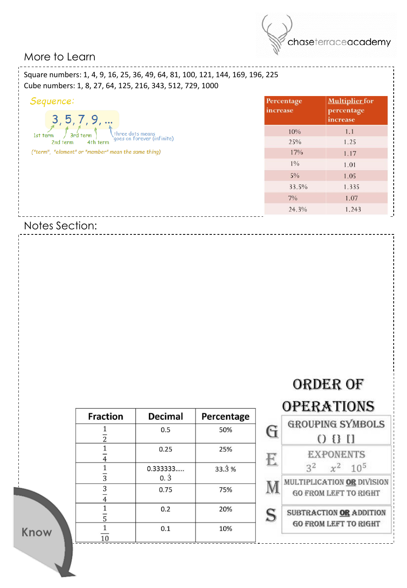

### More to Learn

Square numbers: 1, 4, 9, 16, 25, 36, 49, 64, 81, 100, 121, 144, 169, 196, 225 Cube numbers: 1, 8, 27, 64, 125, 216, 343, 512, 729, 1000

| Sequence:<br>3, 5, 7, 9,                                               | Percentage<br>increase | <b>Multiplier</b> for<br>percentage<br>increase |
|------------------------------------------------------------------------|------------------------|-------------------------------------------------|
| three dots means<br>3rd term<br>1st term<br>goes on forever (infinite) | 10%                    | 1.1                                             |
| 4th term<br>2nd term                                                   | 25%                    | 1.25                                            |
| ("term", "element" or "member" mean the same thing)                    | 17%                    | 1.17                                            |
|                                                                        | $1\%$                  | 1.01                                            |
|                                                                        | $5\%$                  | 1.05                                            |
|                                                                        | 33.5%                  | 1.335                                           |
| $7\%$                                                                  |                        | 1.07                                            |
|                                                                        | 24.3%                  | 1.243                                           |

Notes Section:

| <b>Fraction</b>     | <b>Decimal</b>      | Percentage |
|---------------------|---------------------|------------|
| 2                   | 0.5                 | 50%        |
|                     | 0.25                | 25%        |
| $\overline{3}$      | 0.333333<br>$0.\,3$ | 33.3%      |
| 3<br>$\overline{4}$ | 0.75                | 75%        |
| 5                   | 0.2                 | 20%        |
| 1 <sub>0</sub>      | 0.1                 | 10%        |



Know